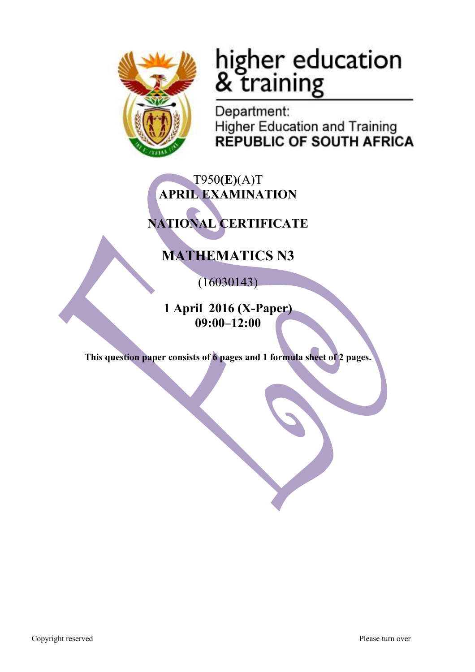

# higher education<br>& training

Department: **Higher Education and Training REPUBLIC OF SOUTH AFRICA** 

## T950**(E)**(A)T **APRIL EXAMINATION**

# **NATIONAL CERTIFICATE**

# **MATHEMATICS N3**

(16030143)

**1 April 2016 (X-Paper) 09:00–12:00**

**This question paper consists of 6 pages and 1 formula sheet of 2 pages.**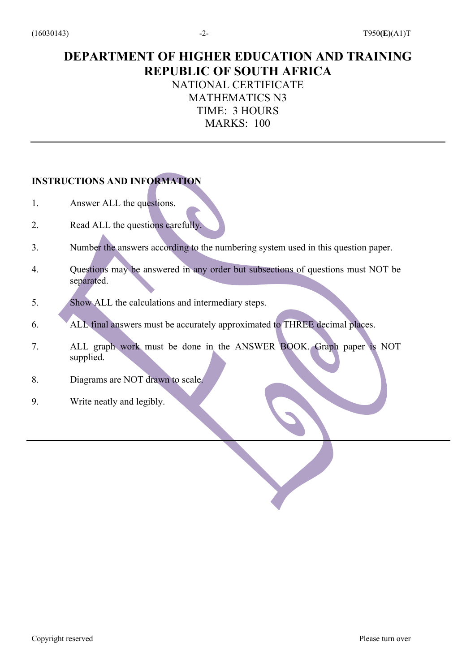### **DEPARTMENT OF HIGHER EDUCATION AND TRAINING REPUBLIC OF SOUTH AFRICA** NATIONAL CERTIFICATE MATHEMATICS N3 TIME: 3 HOURS

MARKS: 100

#### **INSTRUCTIONS AND INFORMATION**

- 1. Answer ALL the questions.
- 2. Read ALL the questions carefully.
- 3. Number the answers according to the numbering system used in this question paper.
- 4. Questions may be answered in any order but subsections of questions must NOT be separated.
- 5. Show ALL the calculations and intermediary steps.
- 6. ALL final answers must be accurately approximated to THREE decimal places.
- 7. ALL graph work must be done in the ANSWER BOOK. Graph paper is NOT supplied.
- 8. Diagrams are NOT drawn to scale.
- 9. Write neatly and legibly.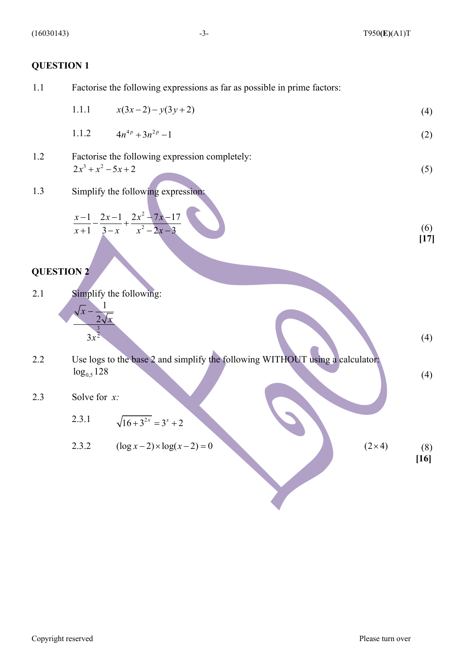(4)

(4)

**[16]**

#### **QUESTION 1**

1.1 Factorise the following expressions as far as possible in prime factors:

1.1.1 
$$
x(3x-2)-y(3y+2) \tag{4}
$$

1.1.2 
$$
4n^{4p} + 3n^{2p} - 1 \tag{2}
$$

- 1.2 Factorise the following expression completely: (5)  $2x^3 + x^2 - 5x + 2$
- 1.3 Simplify the following expression:

$$
\frac{x-1}{x+1} - \frac{2x-1}{3-x} + \frac{2x^2 - 7x - 17}{x^2 - 2x - 3}
$$
(6) [17]

#### **QUESTION 2**

2.1 Simplify the following:

$$
\frac{\sqrt{x} - \frac{1}{2\sqrt{x}}}{3x^{\frac{3}{2}}}
$$

2.2 Use logs to the base 2 and simplify the following WITHOUT using a calculator:  $log<sub>0.5</sub> 128$ 

#### 2.3 Solve for *x:*

- 2.3.1  $\sqrt{16 + 3^{2x}} = 3^{x} + 2$
- 2.3.2  $(\log x 2) \times \log(x 2) = 0$  (2×4) (8)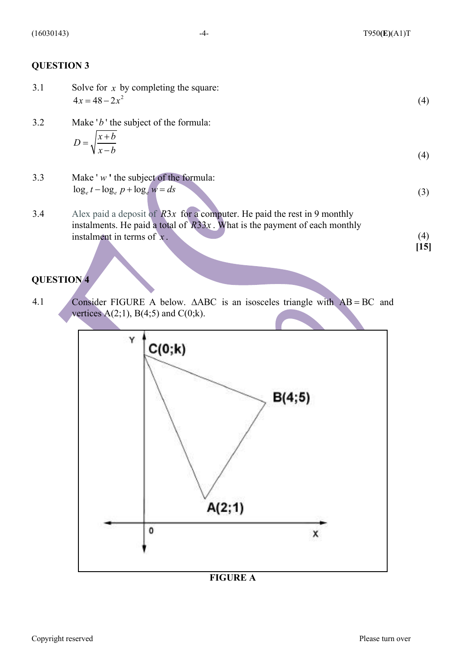(4)

(3)

#### **QUESTION 3**

- 3.1 Solve for x by completing the square:  $4x = 48 - 2x^2$
- 3.2 Make '*b*' the subject of the formula:

$$
D = \sqrt{\frac{x+b}{x-b}}\tag{4}
$$

- 3.3 Make ' *w* **'** the subject of the formula:  $\log_e t - \log_e p + \log_e w = ds$
- 3.4 Alex paid a deposit of  $R3x$  for a computer. He paid the rest in 9 monthly instalments. He paid a total of  $R33x$ . What is the payment of each monthly instalment in terms of  $x$ .  $(4)$ **[15]**

#### **QUESTION 4**

4.1 Consider FIGURE A below.  $\triangle ABC$  is an isosceles triangle with  $AB = BC$  and vertices  $A(2;1)$ ,  $B(4;5)$  and  $C(0;k)$ .



#### **FIGURE A**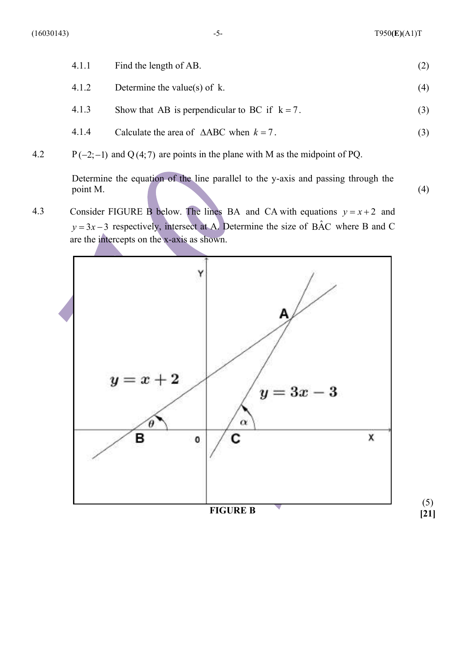| 4.1.1 | Find the length of AB.                               |     |
|-------|------------------------------------------------------|-----|
| 4.1.2 | Determine the value(s) of $k$ .                      | (4) |
| 4.1.3 | Show that AB is perpendicular to BC if $k = 7$ .     | (3) |
| 4.1.4 | Calculate the area of $\triangle ABC$ when $k = 7$ . |     |

4.2  $P(-2;-1)$  and Q(4;7) are points in the plane with M as the midpoint of PQ.

Determine the equation of the line parallel to the y-axis and passing through the  $point M.$  (4)

4.3 Consider FIGURE B below. The lines BA and CA with equations  $y = x + 2$  and  $y = 3x - 3$  respectively, intersect at A. Determine the size of BAC where B and C are the intercepts on the x-axis as shown.

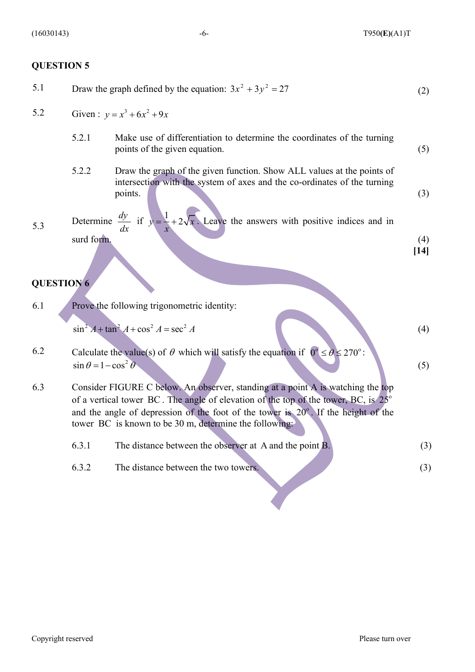#### **QUESTION 5**

- 5.1 Draw the graph defined by the equation:  $3x^2 + 3y^2 = 27$  (2)
- 5.2 Given:  $y = x^3 + 6x^2 + 9x$ 
	- 5.2.1 Make use of differentiation to determine the coordinates of the turning points of the given equation. (5)
	- 5.2.2 Draw the graph of the given function. Show ALL values at the points of intersection with the system of axes and the co-ordinates of the turning points. (3)

5.3 Determine  $\frac{dy}{dx}$  if  $y = \frac{1}{x} + 2\sqrt{x}$ . Leave the answers with positive indices and in surd form. (4) *dy dx x*  $= + +$ 

**[14]**

(4)

(5)

#### **QUESTION 6**

6.1 Prove the following trigonometric identity:

$$
\sin^2 A + \tan^2 A + \cos^2 A = \sec^2 A
$$

- 6.2 Calculate the value(s) of  $\theta$  which will satisfy the equation if  $0^{\circ} \le \theta \le 270^{\circ}$ :  $\sin \theta = 1 - \cos^2 \theta$
- 6.3 Consider FIGURE C below. An observer, standing at a point A is watching the top of a vertical tower BC. The angle of elevation of the top of the tower, BC, is  $25^{\circ}$ and the angle of depression of the foot of the tower is  $20^\circ$ . If the height of the tower BC is known to be 30 m, determine the following:
	- 6.3.1 The distance between the observer at A and the point  $B$ . (3) 6.3.2 The distance between the two towers. (3)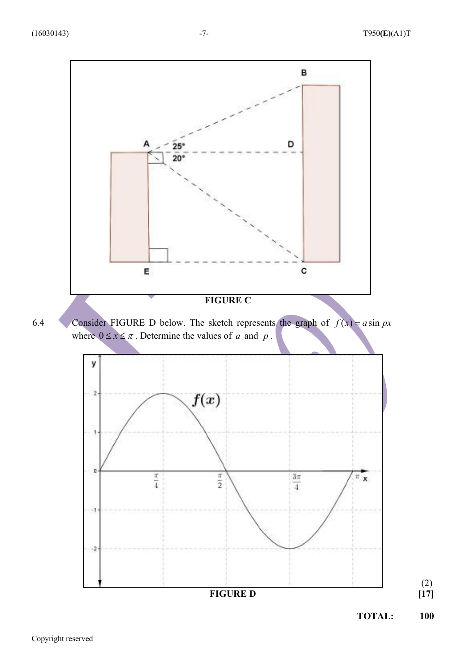

(2)  **[17]**

**TOTAL: 100**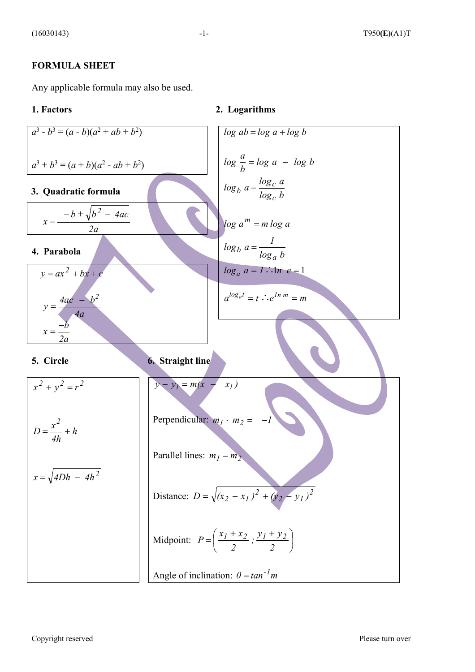#### **FORMULA SHEET**

Any applicable formula may also be used.

**1. Factors 2. Logarithms**